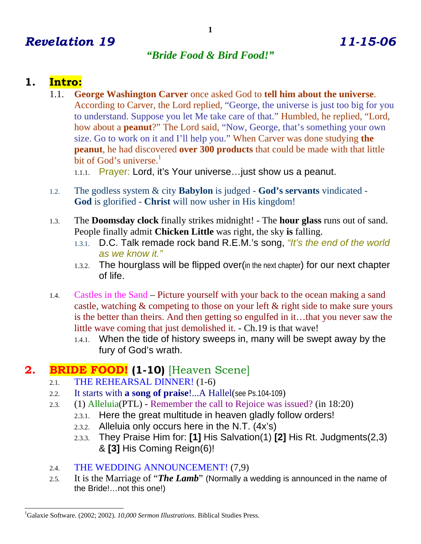# *Revelation 19 11-15-06*

#### *"Bride Food & Bird Food!"*

#### **1. Intro:**

 $\overline{a}$ 

1.1. **George Washington Carver** once asked God to **tell him about the universe**. According to Carver, the Lord replied, "George, the universe is just too big for you to understand. Suppose you let Me take care of that." Humbled, he replied, "Lord, how about a **peanut**?" The Lord said, "Now, George, that's something your own size. Go to work on it and I'll help you." When Carver was done studying **the peanut**, he had discovered **over 300 products** that could be made with that little bit of God's universe. $1$ 

1.1.1. Prayer: Lord, it's Your universe…just show us a peanut.

- 1.2. The godless system & city **Babylon** is judged **God's servants** vindicated **God** is glorified - **Christ** will now usher in His kingdom!
- 1.3. The **Doomsday clock** finally strikes midnight! The **hour glass** runs out of sand. People finally admit **Chicken Little** was right, the sky **is** falling.
	- 1.3.1. D.C. Talk remade rock band R.E.M.'s song, *"It's the end of the world as we know it."*
	- 1.3.2. The hourglass will be flipped over(in the next chapter) for our next chapter of life.
- 1.4. Castles in the Sand Picture yourself with your back to the ocean making a sand castle, watching & competing to those on your left & right side to make sure yours is the better than theirs. And then getting so engulfed in it…that you never saw the little wave coming that just demolished it. - Ch.19 is that wave!
	- 1.4.1. When the tide of history sweeps in, many will be swept away by the fury of God's wrath.

### **2. BRIDE FOOD! (1-10)** [Heaven Scene]

- 2.1. THE REHEARSAL DINNER! (1-6)
- 2.2. It starts with **a song of praise**!...A Hallel(see Ps.104-109)
- 2.3. (1) Alleluia(PTL) Remember the call to Rejoice was issued? (in 18:20)
	- 2.3.1. Here the great multitude in heaven gladly follow orders!
	- 2.3.2. Alleluia only occurs here in the N.T. (4x's)
	- 2.3.3. They Praise Him for: **[1]** His Salvation(1) **[2]** His Rt. Judgments(2,3) & **[3]** His Coming Reign(6)!
- 2.4. THE WEDDING ANNOUNCEMENT! (7,9)
- 2.5. It is the Marriage of "*The Lamb*" (Normally a wedding is announced in the name of the Bride!…not this one!)

<sup>1</sup> Galaxie Software. (2002; 2002). *10,000 Sermon Illustrations*. Biblical Studies Press.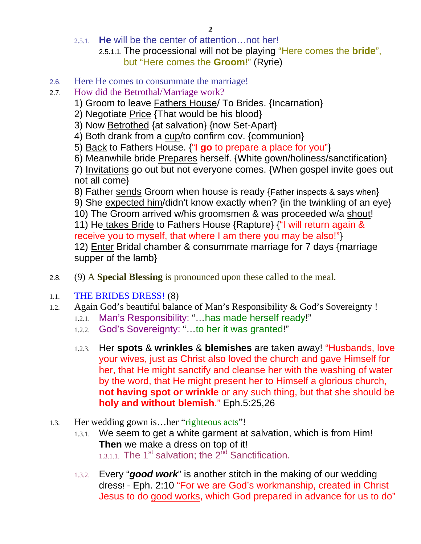- 2.5.1. **He** will be the center of attention…not her!
	- 2.5.1.1. The processional will not be playing "Here comes the **bride**", but "Here comes the **Groom**!" (Ryrie)
- 2.6. Here He comes to consummate the marriage!
- 2.7. How did the Betrothal/Marriage work?
	- 1) Groom to leave Fathers House/ To Brides. {Incarnation}
	- 2) Negotiate Price {That would be his blood}
	- 3) Now Betrothed {at salvation} {now Set-Apart}
	- 4) Both drank from a cup/to confirm cov. {communion}
	- 5) Back to Fathers House. {"**I go** to prepare a place for you"}
	- 6) Meanwhile bride Prepares herself. {White gown/holiness/sanctification}

7) Invitations go out but not everyone comes. {When gospel invite goes out not all come}

8) Father sends Groom when house is ready {Father inspects & says when} 9) She expected him/didn't know exactly when? {in the twinkling of an eye} 10) The Groom arrived w/his groomsmen & was proceeded w/a shout! 11) He takes Bride to Fathers House {Rapture} {"I will return again & receive you to myself, that where I am there you may be also!"} 12) Enter Bridal chamber & consummate marriage for 7 days {marriage supper of the lamb}

- 2.8. (9) A **Special Blessing** is pronounced upon these called to the meal.
- 1.1. THE BRIDES DRESS! (8)
- 1.2. Again God's beautiful balance of Man's Responsibility & God's Sovereignty !
	- 1.2.1. Man's Responsibility: "…has made herself ready!"
	- 1.2.2. God's Sovereignty: "…to her it was granted!"
	- 1.2.3. Her **spots** & **wrinkles** & **blemishes** are taken away! "Husbands, love your wives, just as Christ also loved the church and gave Himself for her, that He might sanctify and cleanse her with the washing of water by the word, that He might present her to Himself a glorious church, **not having spot or wrinkle** or any such thing, but that she should be **holy and without blemish**." Eph.5:25,26
- 1.3. Her wedding gown is…her "righteous acts"!
	- 1.3.1. We seem to get a white garment at salvation, which is from Him! **Then** we make a dress on top of it!  $1.3.1.1$ . The 1<sup>st</sup> salvation; the 2<sup>nd</sup> Sanctification.
	- 1.3.2. Every "*good work*" is another stitch in the making of our wedding dress! - Eph. 2:10 "For we are God's workmanship, created in Christ Jesus to do good works, which God prepared in advance for us to do"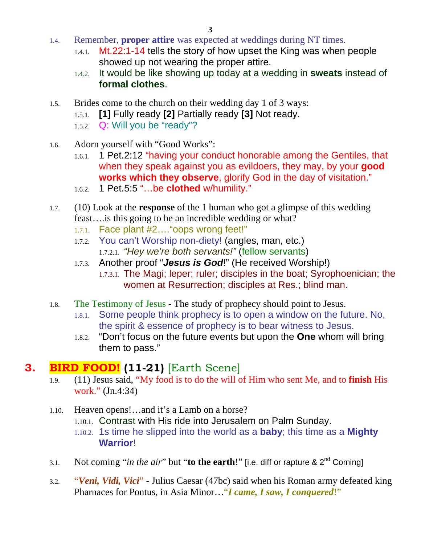- 1.4. Remember, **proper attire** was expected at weddings during NT times.
	- 1.4.1. Mt.22:1-14 tells the story of how upset the King was when people showed up not wearing the proper attire.
	- 1.4.2. It would be like showing up today at a wedding in **sweats** instead of **formal clothes**.
- 1.5. Brides come to the church on their wedding day 1 of 3 ways:
	- 1.5.1. **[1]** Fully ready **[2]** Partially ready **[3]** Not ready.
	- 1.5.2. Q: Will you be "ready"?
- 1.6. Adorn yourself with "Good Works":
	- 1.6.1. 1 Pet.2:12 "having your conduct honorable among the Gentiles, that when they speak against you as evildoers, they may, by your **good works which they observe**, glorify God in the day of visitation."
	- 1.6.2. 1 Pet.5:5 "…be **clothed** w/humility."
- 1.7. (10) Look at the **response** of the 1 human who got a glimpse of this wedding feast….is this going to be an incredible wedding or what?
	- 1.7.1. Face plant #2…."oops wrong feet!"
	- 1.7.2. You can't Worship non-diety! (angles, man, etc.) 1.7.2.1. *"Hey we're both servants!"* (fellow servants)
	- 1.7.3. Another proof "*Jesus is God*!" (He received Worship!)
		- 1.7.3.1. The Magi; leper; ruler; disciples in the boat; Syrophoenician; the women at Resurrection; disciples at Res.; blind man.
- 1.8. The Testimony of JesusThe study of prophecy should point to Jesus.
	- 1.8.1. Some people think prophecy is to open a window on the future. No, the spirit & essence of prophecy is to bear witness to Jesus.
	- 1.8.2. "Don't focus on the future events but upon the **One** whom will bring them to pass."

## **3. BIRD FOOD! (11-21)** [Earth Scene]

- 1.9. (11) Jesus said, "My food is to do the will of Him who sent Me, and to **finish** His work." (Jn.4:34)
- 1.10. Heaven opens!…and it's a Lamb on a horse?
	- 1.10.1. Contrast with His ride into Jerusalem on Palm Sunday.
	- 1.10.2. 1s time he slipped into the world as a **baby**; this time as a **Mighty Warrior**!
- 3.1. Not coming "*in the air*" but "**to the earth!**" [i.e. diff or rapture & 2<sup>nd</sup> Coming]
- 3.2. "*Veni, Vidi, Vici*" Julius Caesar (47bc) said when his Roman army defeated king Pharnaces for Pontus, in Asia Minor…"*I came, I saw, I conquered*!"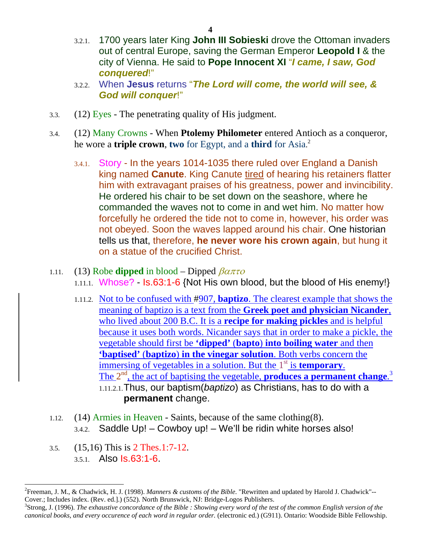- 3.2.1. 1700 years later King **John III Sobieski** drove the Ottoman invaders out of central Europe, saving the German Emperor **Leopold I** & the city of Vienna. He said to **Pope Innocent XI** "*I came, I saw, God conquered*!"
- 3.2.2. When **Jesus** returns "*The Lord will come, the world will see, & God will conquer*!"
- 3.3. (12) Eyes The penetrating quality of His judgment.
- 3.4. (12) Many Crowns When **Ptolemy Philometer** entered Antioch as a conqueror, he wore a **triple crown**, **two** for Egypt, and a **third** for Asia. 2
	- 3.4.1. Story In the years 1014-1035 there ruled over England a Danish king named **Canute**. King Canute tired of hearing his retainers flatter him with extravagant praises of his greatness, power and invincibility. He ordered his chair to be set down on the seashore, where he commanded the waves not to come in and wet him. No matter how forcefully he ordered the tide not to come in, however, his order was not obeyed. Soon the waves lapped around his chair. One historian tells us that, therefore, **he never wore his crown again**, but hung it on a statue of the crucified Christ.
- 1.11. (13) Robe **dipped** in blood Dipped  $\beta a \pi \tau o$ 1.11.1. Whose? - Is.63:1-6 {Not His own blood, but the blood of His enemy!}
	- 1.11.2. Not to be confused with #907, **baptizo**. The clearest example that shows the meaning of baptizo is a text from the **Greek poet and physician Nicander**, who lived about 200 B.C. It is a **recipe for making pickles** and is helpful because it uses both words. Nicander says that in order to make a pickle, the vegetable should first be **'dipped'** (**bapto**) **into boiling water** and then **'baptised'** (**baptizo**) **in the vinegar solution**. Both verbs concern the immersing of vegetables in a solution. But the 1<sup>st</sup> is **temporary**. The 2<sup>nd</sup>, the act of baptising the vegetable, **produces a permanent change**.<sup>3</sup> 1.11.2.1.Thus, our baptism(*baptizo*) as Christians, has to do with a **permanent** change.
- 1.12. (14) Armies in Heaven Saints, because of the same clothing(8). 3.4.2. Saddle Up! – Cowboy up! – We'll be ridin white horses also!
- 3.5. (15,16) This is 2 Thes.1:7-12. 3.5.1. Also Is.63:1-6.

 $\overline{a}$ 

<sup>2</sup> Freeman, J. M., & Chadwick, H. J. (1998). *Manners & customs of the Bible*. "Rewritten and updated by Harold J. Chadwick"-- Cover.; Includes index. (Rev. ed.].) (552). North Brunswick, NJ: Bridge-Logos Publishers.

<sup>3</sup> Strong, J. (1996). *The exhaustive concordance of the Bible : Showing every word of the test of the common English version of the canonical books, and every occurence of each word in regular order.* (electronic ed.) (G911). Ontario: Woodside Bible Fellowship.